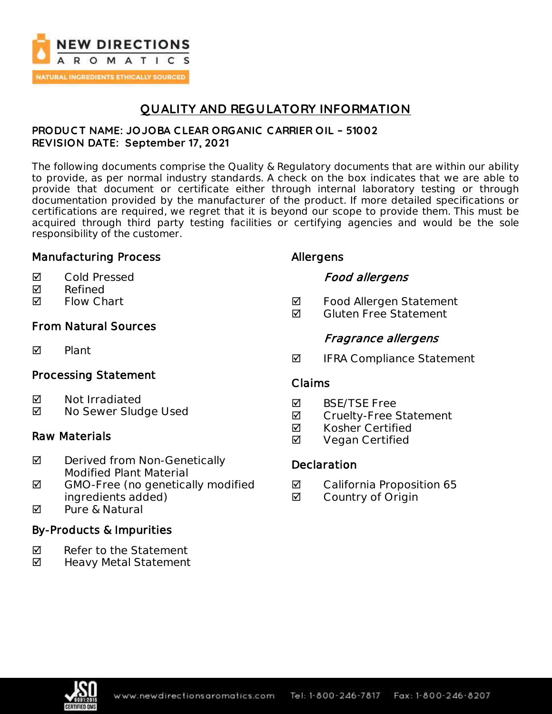

## **QUALITY AND REGULATORY INFORMATION**

### **PRODUC T NAME: JOJOBA C LEAR ORGANIC C ARRIER OIL – 51002 REVISION DATE: September 17, 2021**

The following documents comprise the Quality & Regulatory documents that are within our ability to provide, as per normal industry standards. A check on the box indicates that we are able to provide that document or certificate either through internal laboratory testing or through documentation provided by the manufacturer of the product. If more detailed specifications or certifications are required, we regret that it is beyond our scope to provide them. This must be acquired through third party testing facilities or certifying agencies and would be the sole responsibility of the customer.

## Manufacturing Process

- **Ø** Cold Pressed
- $\nabla$  Refined
- **Ø** Flow Chart

## From Natural Sources

**M** Plant

## Processing Statement

- **Ø** Not Irradiated
- No Sewer Sludge Used

## Raw Materials

- **Ø** Derived from Non-Genetically Modified Plant Material
- $\boxtimes$  GMO-Free (no genetically modified ingredients added)
- **M** Pure & Natural

## By-Products & Impurities

- $\nabla$  Refer to the Statement
- ◘ Heavy Metal Statement

## Allergens

## Food allergens

- **Ø** Food Allergen Statement
- $\blacksquare$  Gluten Free Statement

## Fragrance allergens

 $\blacksquare$  IFRA Compliance Statement

### Claims

- **M** BSF/TSF Free
- **Ø** Cruelty-Free Statement
- **Ø** Kosher Certified
- **Ø** Vegan Certified

## Declaration

- **Ø** California Proposition 65
- **Ø** Country of Origin

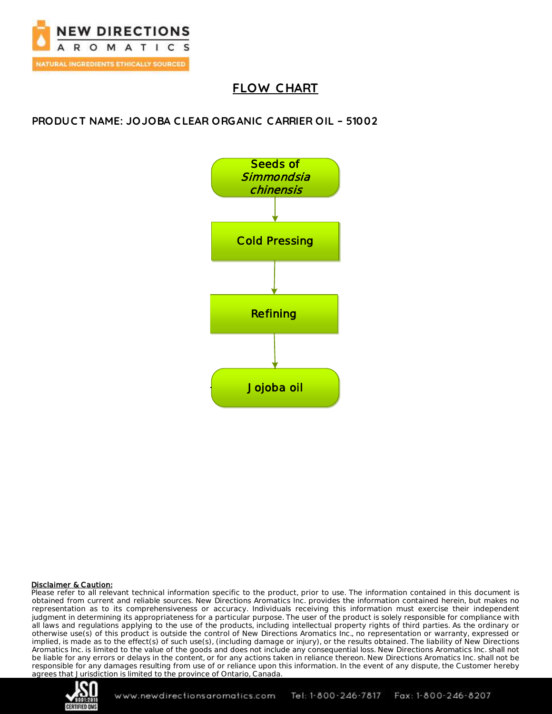

# **FLOW C HART**

**PRODUC T NAME: JOJOBA C LEAR ORGANIC C ARRIER OIL – 51002**



#### **Disclaimer & Caution:**

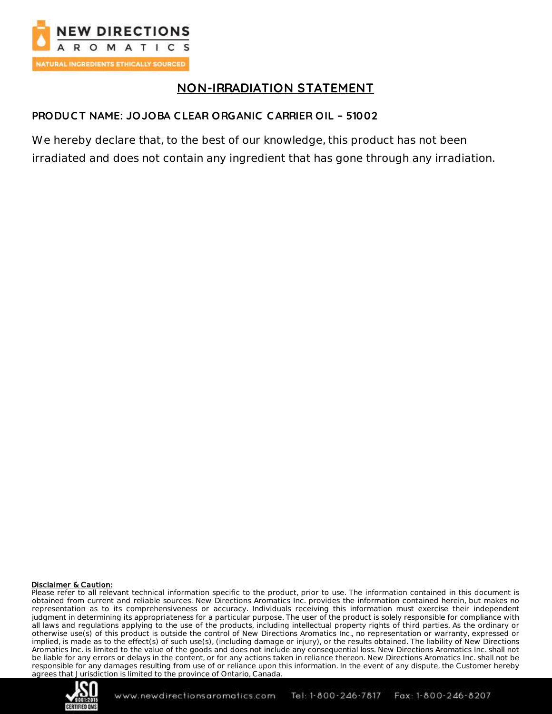

# **NON-IRRADIATION STATEMENT**

## **PRODUC T NAME: JOJOBA C LEAR ORGANIC C ARRIER OIL – 51002**

We hereby declare that, to the best of our knowledge, this product has not been irradiated and does not contain any ingredient that has gone through any irradiation.

#### Disclaimer & Caution:

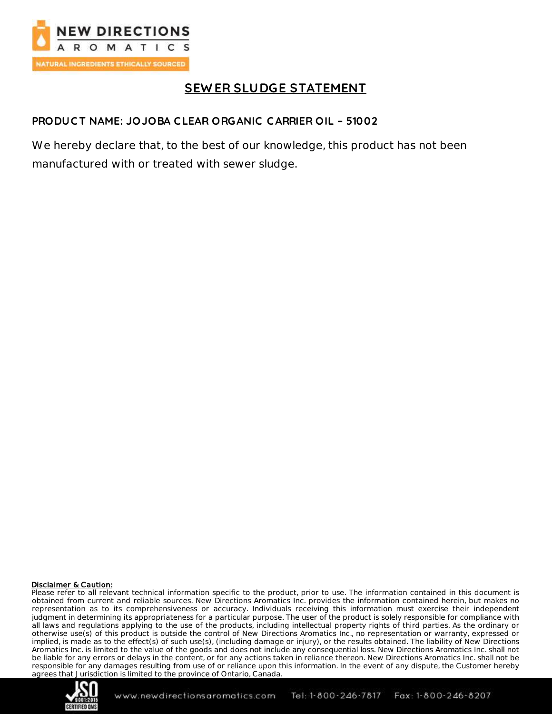

# **SEW ER SLUDGE STATEMENT**

## **PRODUC T NAME: JOJOBA C LEAR ORGANIC C ARRIER OIL – 51002**

We hereby declare that, to the best of our knowledge, this product has not been manufactured with or treated with sewer sludge.

#### **Disclaimer & Caution:**

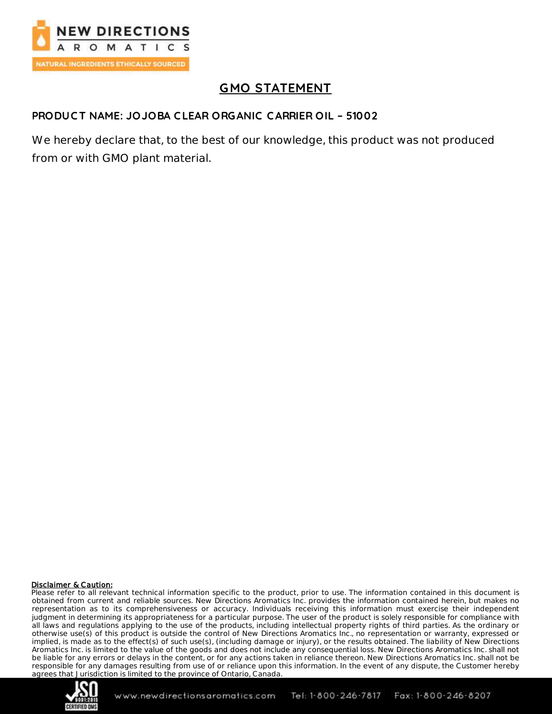

# **GMO STATEMENT**

### **PRODUC T NAME: JOJOBA C LEAR ORGANIC C ARRIER OIL – 51002**

We hereby declare that, to the best of our knowledge, this product was not produced from or with GMO plant material.

#### Disclaimer & Caution:

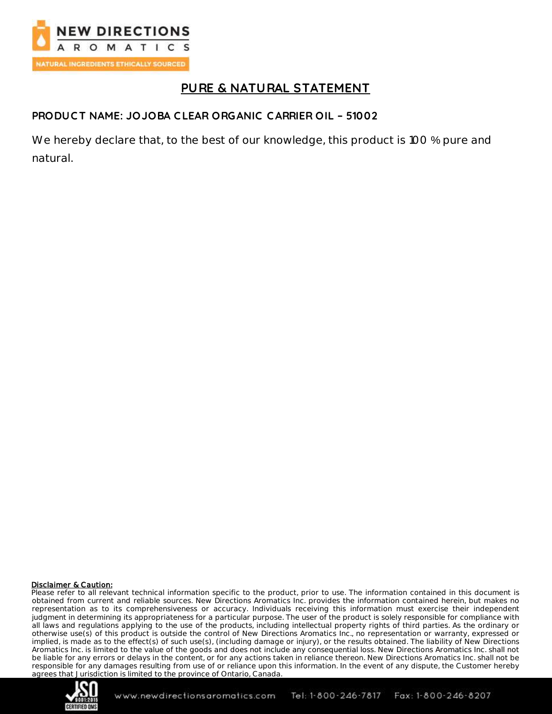

## **PURE & NATURAL STATEMENT**

## **PRODUC T NAME: JOJOBA C LEAR ORGANIC C ARRIER OIL – 51002**

We hereby declare that, to the best of our knowledge, this product is 100 % pure and natural.

#### Disclaimer & Caution:

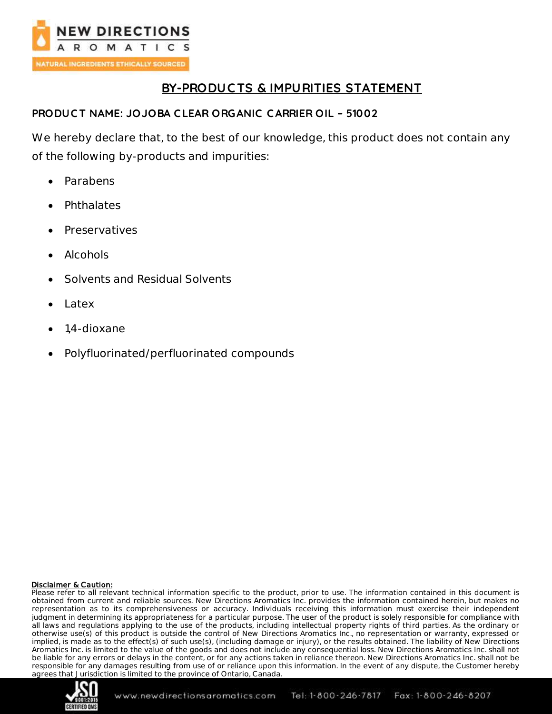

# **BY-PRODUC TS & IMPURITIES STATEMENT**

### **PRODUC T NAME: JOJOBA C LEAR ORGANIC C ARRIER OIL – 51002**

We hereby declare that, to the best of our knowledge, this product does not contain any of the following by-products and impurities:

- Parabens
- **Phthalates**
- Preservatives
- Alcohols
- Solvents and Residual Solvents
- Latex
- 1,4-dioxane
- Polyfluorinated/perfluorinated compounds

#### Disclaimer & Caution:

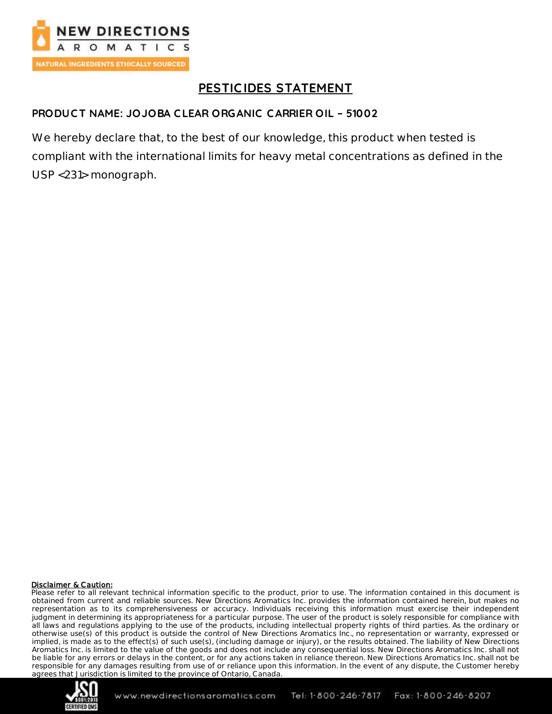

# **PESTIC IDES STATEMENT**

### **PRODUC T NAME: JOJOBA C LEAR ORGANIC C ARRIER OIL – 51002**

We hereby declare that, to the best of our knowledge, this product when tested is compliant with the international limits for heavy metal concentrations as defined in the USP <231> monograph.

#### **Disclaimer & Caution:**

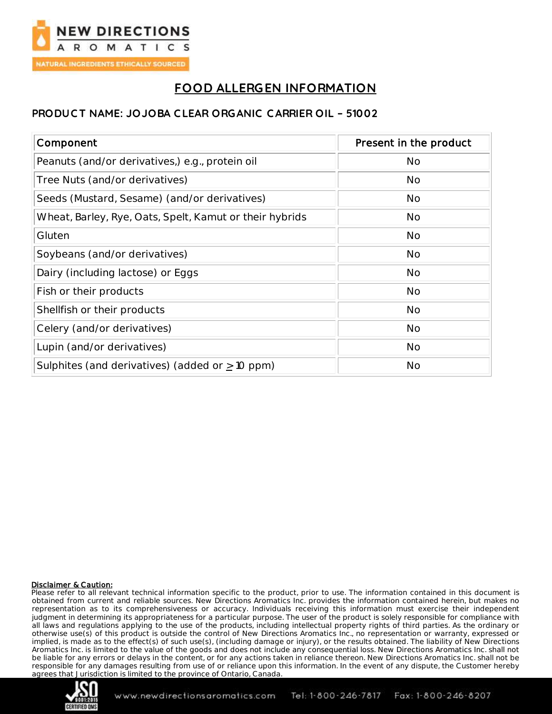

# **FOOD ALLERGEN INFORMATION**

### **PRODUC T NAME: JOJOBA C LEAR ORGANIC C ARRIER OIL – 51002**

| Component                                               | Present in the product |
|---------------------------------------------------------|------------------------|
| Peanuts (and/or derivatives,) e.g., protein oil         | <b>No</b>              |
| Tree Nuts (and/or derivatives)                          | No                     |
| Seeds (Mustard, Sesame) (and/or derivatives)            | No                     |
| Wheat, Barley, Rye, Oats, Spelt, Kamut or their hybrids | <b>No</b>              |
| Gluten                                                  | <b>No</b>              |
| Soybeans (and/or derivatives)                           | <b>No</b>              |
| Dairy (including lactose) or Eggs                       | <b>No</b>              |
| Fish or their products                                  | <b>No</b>              |
| Shellfish or their products                             | <b>No</b>              |
| Celery (and/or derivatives)                             | <b>No</b>              |
| Lupin (and/or derivatives)                              | <b>No</b>              |
| Sulphites (and derivatives) (added or $\geq$ 10 ppm)    | <b>No</b>              |

#### Disclaimer & Caution:

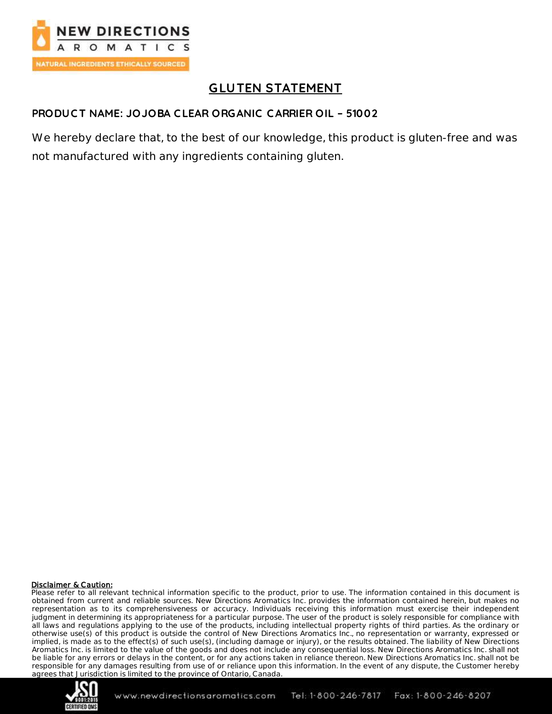

# **GLUTEN STATEMENT**

## **PRODUC T NAME: JOJOBA C LEAR ORGANIC C ARRIER OIL – 51002**

We hereby declare that, to the best of our knowledge, this product is gluten-free and was not manufactured with any ingredients containing gluten.

#### **Disclaimer & Caution:**

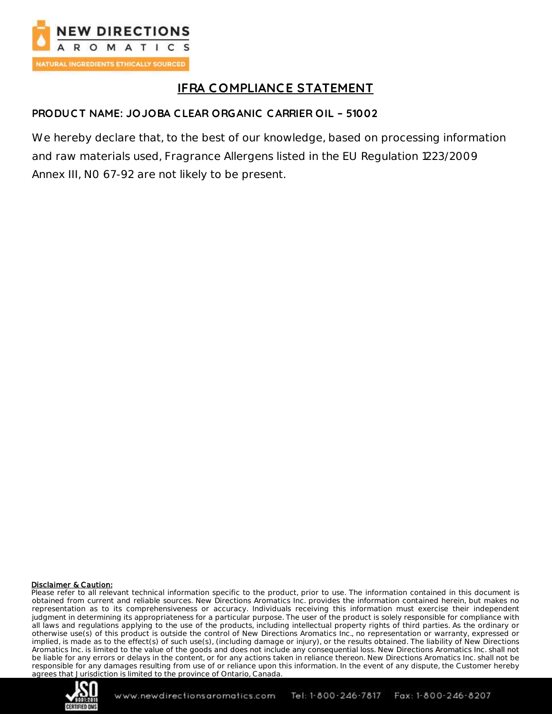

# **IFRA C OMPLIANCE STATEMENT**

## **PRODUC T NAME: JOJOBA C LEAR ORGANIC C ARRIER OIL – 51002**

We hereby declare that, to the best of our knowledge, based on processing information and raw materials used, Fragrance Allergens listed in the EU Regulation 1223/2009 Annex III, N0 67-92 are not likely to be present.

#### Disclaimer & Caution:

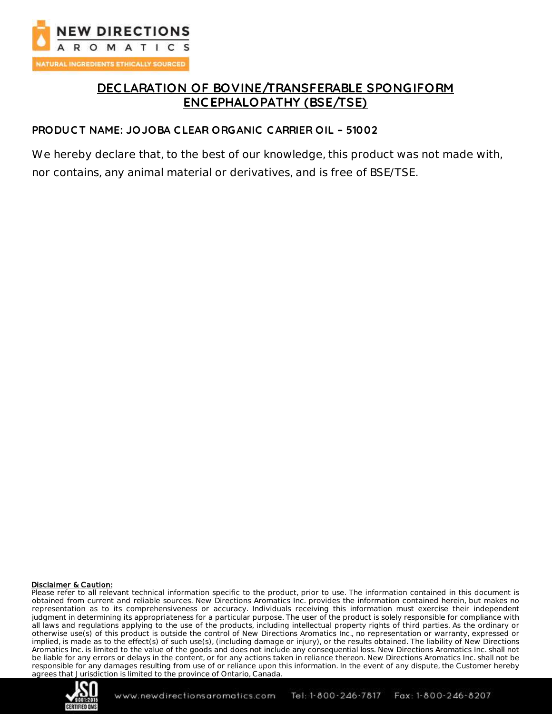

## **DEC LARATION OF BOVINE/TRANSFERABLE SPONGIFORM ENC EPHALOPATHY (BSE/TSE)**

#### **PRODUC T NAME: JOJOBA C LEAR ORGANIC C ARRIER OIL – 51002**

We hereby declare that, to the best of our knowledge, this product was not made with, nor contains, any animal material or derivatives, and is free of BSE/TSE.

#### Disclaimer & Caution:

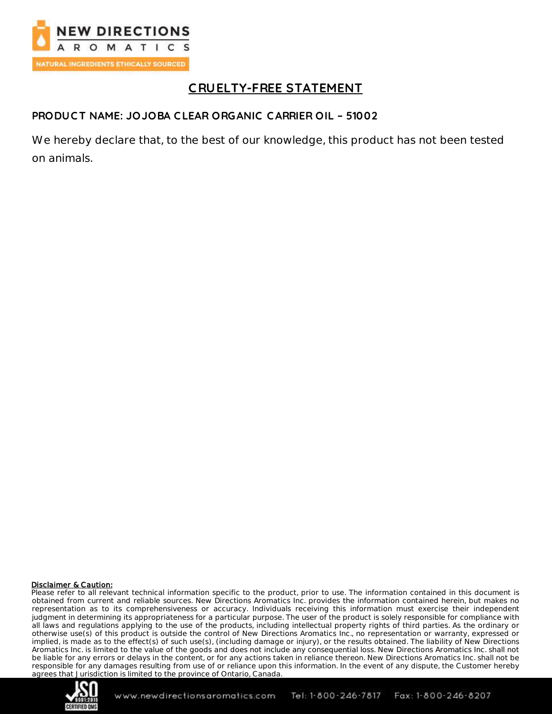

# **C RUELTY-FREE STATEMENT**

## **PRODUC T NAME: JOJOBA C LEAR ORGANIC C ARRIER OIL – 51002**

We hereby declare that, to the best of our knowledge, this product has not been tested on animals.

#### Disclaimer & Caution:

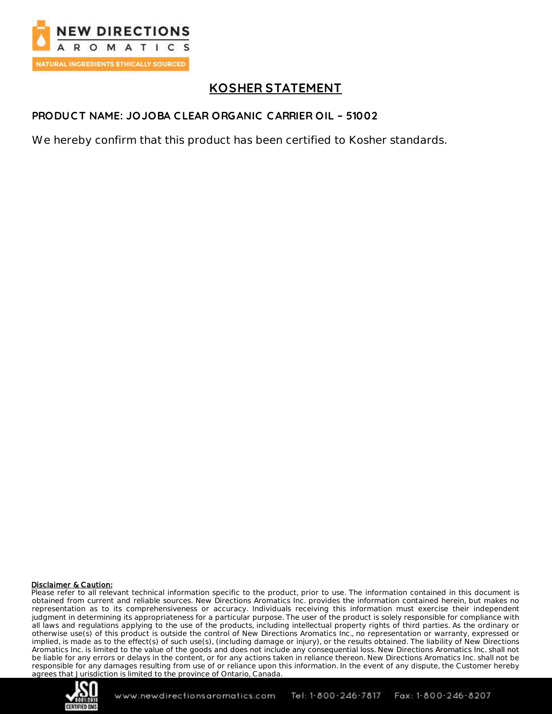

## **KOSHER STATEMENT**

## **PRODUC T NAME: JOJOBA C LEAR ORGANIC C ARRIER OIL – 51002**

We hereby confirm that this product has been certified to Kosher standards.

#### Disclaimer & Caution:

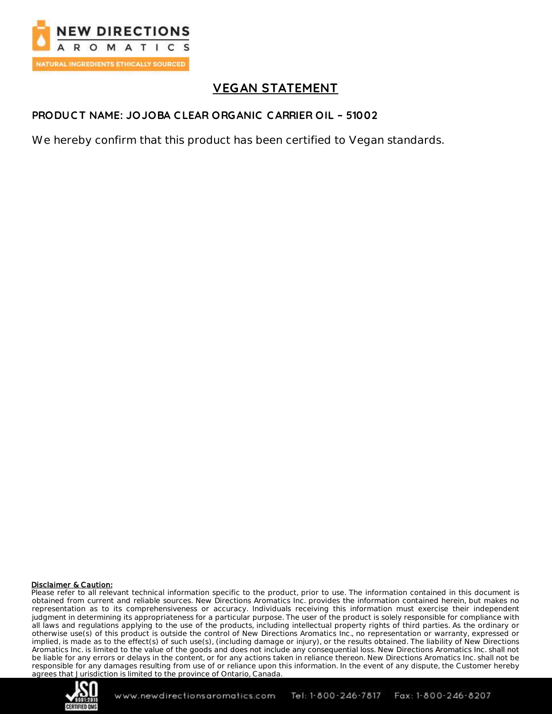

# **VEGAN STATEMENT**

## **PRODUC T NAME: JOJOBA C LEAR ORGANIC C ARRIER OIL – 51002**

We hereby confirm that this product has been certified to Vegan standards.

#### Disclaimer & Caution:

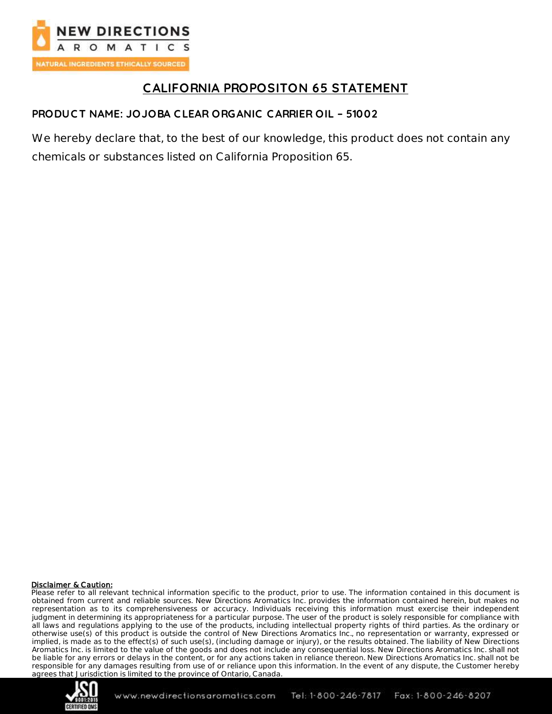

# **CALIFORNIA PROPOSITON 65 STATEMENT**

## **PRODUC T NAME: JOJOBA C LEAR ORGANIC C ARRIER OIL – 51002**

We hereby declare that, to the best of our knowledge, this product does not contain any chemicals or substances listed on California Proposition 65.

#### Disclaimer & Caution: